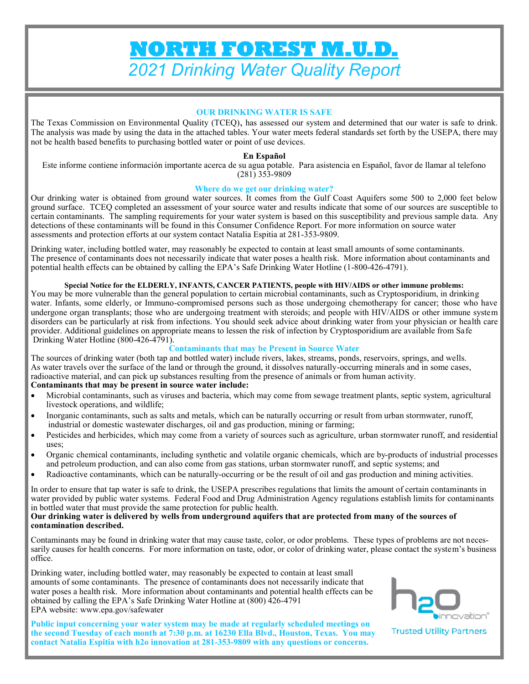# **NORTH FOREST M.U.D.**  *2021 Drinking Water Quality Report*

#### **OUR DRINKING WATER IS SAFE**

The Texas Commission on Environmental Quality (TCEQ), has assessed our system and determined that our water is safe to drink. The analysis was made by using the data in the attached tables. Your water meets federal standards set forth by the USEPA, there may not be health based benefits to purchasing bottled water or point of use devices.

#### **En Español**

Este informe contiene información importante acerca de su agua potable. Para asistencia en Español, favor de llamar al telefono (281) 353-9809

#### **Where do we get our drinking water?**

Our drinking water is obtained from ground water sources. It comes from the Gulf Coast Aquifers some 500 to 2,000 feet below ground surface. TCEQ completed an assessment of your source water and results indicate that some of our sources are susceptible to certain contaminants. The sampling requirements for your water system is based on this susceptibility and previous sample data. Any detections of these contaminants will be found in this Consumer Confidence Report. For more information on source water assessments and protection efforts at our system contact Natalia Espitia at 281-353-9809.

Drinking water, including bottled water, may reasonably be expected to contain at least small amounts of some contaminants. The presence of contaminants does not necessarily indicate that water poses a health risk. More information about contaminants and potential health effects can be obtained by calling the EPA's Safe Drinking Water Hotline (1-800-426-4791).

#### **Special Notice for the ELDERLY, INFANTS, CANCER PATIENTS, people with HIV/AIDS or other immune problems:**

You may be more vulnerable than the general population to certain microbial contaminants, such as Cryptosporidium, in drinking water. Infants, some elderly, or Immuno-compromised persons such as those undergoing chemotherapy for cancer; those who have undergone organ transplants; those who are undergoing treatment with steroids; and people with HIV/AIDS or other immune system disorders can be particularly at risk from infections. You should seek advice about drinking water from your physician or health care provider. Additional guidelines on appropriate means to lessen the risk of infection by Cryptosporidium are available from Safe Drinking Water Hotline (800-426-4791).

#### **Contaminants that may be Present in Source Water**

The sources of drinking water (both tap and bottled water) include rivers, lakes, streams, ponds, reservoirs, springs, and wells. As water travels over the surface of the land or through the ground, it dissolves naturally-occurring minerals and in some cases, radioactive material, and can pick up substances resulting from the presence of animals or from human activity. **Contaminants that may be present in source water include:**

- Microbial contaminants, such as viruses and bacteria, which may come from sewage treatment plants, septic system, agricultural livestock operations, and wildlife;
- Inorganic contaminants, such as salts and metals, which can be naturally occurring or result from urban stormwater, runoff, industrial or domestic wastewater discharges, oil and gas production, mining or farming;
- Pesticides and herbicides, which may come from a variety of sources such as agriculture, urban stormwater runoff, and residential uses;
- Organic chemical contaminants, including synthetic and volatile organic chemicals, which are by-products of industrial processes and petroleum production, and can also come from gas stations, urban stormwater runoff, and septic systems; and
- Radioactive contaminants, which can be naturally-occurring or be the result of oil and gas production and mining activities.

In order to ensure that tap water is safe to drink, the USEPA prescribes regulations that limits the amount of certain contaminants in water provided by public water systems. Federal Food and Drug Administration Agency regulations establish limits for contaminants in bottled water that must provide the same protection for public health.

#### **Our drinking water is delivered by wells from underground aquifers that are protected from many of the sources of contamination described.**

Contaminants may be found in drinking water that may cause taste, color, or odor problems. These types of problems are not necessarily causes for health concerns. For more information on taste, odor, or color of drinking water, please contact the system's business office.

Drinking water, including bottled water, may reasonably be expected to contain at least small amounts of some contaminants. The presence of contaminants does not necessarily indicate that water poses a health risk. More information about contaminants and potential health effects can be obtained by calling the EPA's Safe Drinking Water Hotline at (800) 426-4791 EPA website: www.epa.gov/safewater

**Public input concerning your water system may be made at regularly scheduled meetings on the second Tuesday of each month at 7:30 p.m. at 16230 Ella Blvd., Houston, Texas. You may contact Natalia Espitia with h2o innovation at 281-353-9809 with any questions or concerns.**



**Trusted Utility Partners**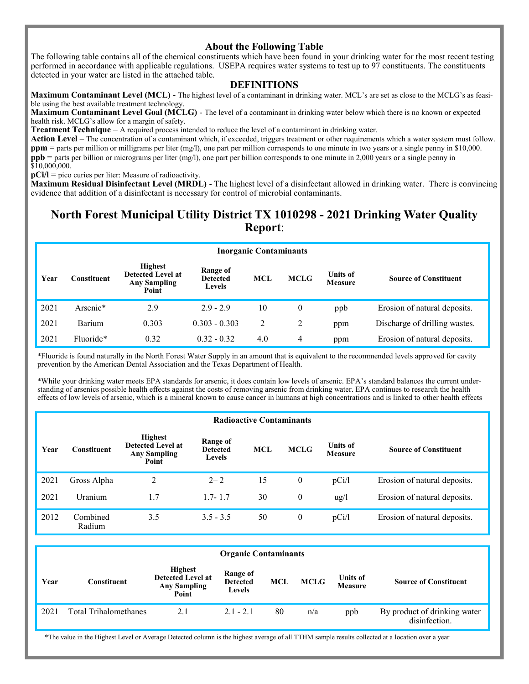### **About the Following Table**

The following table contains all of the chemical constituents which have been found in your drinking water for the most recent testing performed in accordance with applicable regulations. USEPA requires water systems to test up to 97 constituents. The constituents detected in your water are listed in the attached table.

#### **DEFINITIONS**

**Maximum Contaminant Level (MCL)** - The highest level of a contaminant in drinking water. MCL's are set as close to the MCLG's as feasible using the best available treatment technology.

**Maximum Contaminant Level Goal (MCLG)** - The level of a contaminant in drinking water below which there is no known or expected health risk. MCLG's allow for a margin of safety.

**Treatment Technique** – A required process intended to reduce the level of a contaminant in drinking water.

Action Level – The concentration of a contaminant which, if exceeded, triggers treatment or other requirements which a water system must follow. **ppm** = parts per million or milligrams per liter (mg/l), one part per million corresponds to one minute in two years or a single penny in \$10,000. **ppb** = parts per billion or micrograms per liter (mg/l), one part per billion corresponds to one minute in 2,000 years or a single penny in \$10,000,000.

**pCi/l** = pico curies per liter: Measure of radioactivity.

**Maximum Residual Disinfectant Level (MRDL)** - The highest level of a disinfectant allowed in drinking water. There is convincing evidence that addition of a disinfectant is necessary for control of microbial contaminants.

## **North Forest Municipal Utility District TX 1010298 - 2021 Drinking Water Quality Report**:

| <b>Inorganic Contaminants</b> |               |                                                                            |                                              |            |             |                                   |                               |  |  |
|-------------------------------|---------------|----------------------------------------------------------------------------|----------------------------------------------|------------|-------------|-----------------------------------|-------------------------------|--|--|
| Year                          | Constituent   | <b>Highest</b><br><b>Detected Level at</b><br><b>Any Sampling</b><br>Point | Range of<br><b>Detected</b><br><b>Levels</b> | <b>MCL</b> | <b>MCLG</b> | <b>Units of</b><br><b>Measure</b> | <b>Source of Constituent</b>  |  |  |
| 2021                          | Arsenic*      | 2.9                                                                        | $2.9 - 2.9$                                  | 10         | $\theta$    | ppb                               | Erosion of natural deposits.  |  |  |
| 2021                          | <b>Barium</b> | 0.303                                                                      | $0.303 - 0.303$                              | 2          | 2           | ppm                               | Discharge of drilling wastes. |  |  |
| 2021                          | Fluoride*     | 0.32                                                                       | $0.32 - 0.32$                                | 4.0        | 4           | ppm                               | Erosion of natural deposits.  |  |  |

\*Fluoride is found naturally in the North Forest Water Supply in an amount that is equivalent to the recommended levels approved for cavity prevention by the American Dental Association and the Texas Department of Health.

\*While your drinking water meets EPA standards for arsenic, it does contain low levels of arsenic. EPA's standard balances the current understanding of arsenics possible health effects against the costs of removing arsenic from drinking water. EPA continues to research the health effects of low levels of arsenic, which is a mineral known to cause cancer in humans at high concentrations and is linked to other health effects

|      | <b>Radioactive Contaminants</b> |                                                                            |                                       |            |                  |                                   |                              |  |  |  |
|------|---------------------------------|----------------------------------------------------------------------------|---------------------------------------|------------|------------------|-----------------------------------|------------------------------|--|--|--|
| Year | Constituent                     | <b>Highest</b><br><b>Detected Level at</b><br><b>Any Sampling</b><br>Point | Range of<br><b>Detected</b><br>Levels | <b>MCL</b> | <b>MCLG</b>      | <b>Units of</b><br><b>Measure</b> | <b>Source of Constituent</b> |  |  |  |
| 2021 | Gross Alpha                     | 2                                                                          | $2 - 2$                               | 15         | $\boldsymbol{0}$ | pCi/l                             | Erosion of natural deposits. |  |  |  |
| 2021 | Uranium                         | 1.7                                                                        | $1.7 - 1.7$                           | 30         | $\theta$         | $\frac{u g}{l}$                   | Erosion of natural deposits. |  |  |  |
| 2012 | Combined<br>Radium              | 3.5                                                                        | $3.5 - 3.5$                           | 50         | $\theta$         | pCi/l                             | Erosion of natural deposits. |  |  |  |

|      | <b>Organic Contaminants</b>  |                                                                            |                                              |     |      |                                   |                                               |  |  |  |
|------|------------------------------|----------------------------------------------------------------------------|----------------------------------------------|-----|------|-----------------------------------|-----------------------------------------------|--|--|--|
| Year | Constituent                  | <b>Highest</b><br><b>Detected Level at</b><br><b>Any Sampling</b><br>Point | Range of<br><b>Detected</b><br><b>Levels</b> | MCL | MCLG | <b>Units of</b><br><b>Measure</b> | <b>Source of Constituent</b>                  |  |  |  |
| 2021 | <b>Total Trihalomethanes</b> | 2.1                                                                        | $2.1 - 2.1$                                  | 80  | n/a  | ppb                               | By product of drinking water<br>disinfection. |  |  |  |

\*The value in the Highest Level or Average Detected column is the highest average of all TTHM sample results collected at a location over a year